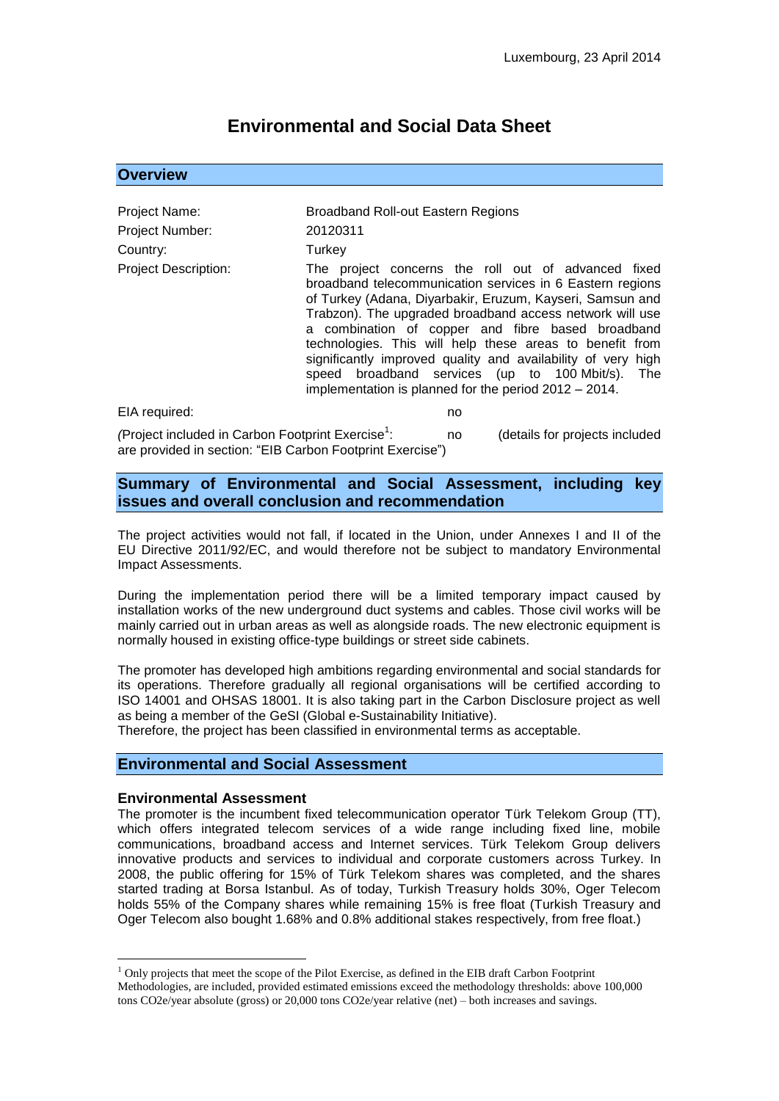# **Environmental and Social Data Sheet**

#### **Overview**

| Project Name:<br>Project Number: | Broadband Roll-out Eastern Regions<br>20120311                                                                                                                                                                                                                                                                                                                                                                                                                                                                                          |
|----------------------------------|-----------------------------------------------------------------------------------------------------------------------------------------------------------------------------------------------------------------------------------------------------------------------------------------------------------------------------------------------------------------------------------------------------------------------------------------------------------------------------------------------------------------------------------------|
| Country:                         | Turkey                                                                                                                                                                                                                                                                                                                                                                                                                                                                                                                                  |
| <b>Project Description:</b>      | The project concerns the roll out of advanced fixed<br>broadband telecommunication services in 6 Eastern regions<br>of Turkey (Adana, Diyarbakir, Eruzum, Kayseri, Samsun and<br>Trabzon). The upgraded broadband access network will use<br>a combination of copper and fibre based broadband<br>technologies. This will help these areas to benefit from<br>significantly improved quality and availability of very high<br>speed broadband services (up to 100 Mbit/s). The<br>implementation is planned for the period 2012 - 2014. |
| EIA required:                    | no                                                                                                                                                                                                                                                                                                                                                                                                                                                                                                                                      |
|                                  |                                                                                                                                                                                                                                                                                                                                                                                                                                                                                                                                         |

*(Project included in Carbon Footprint Exercise<sup>1</sup>:* : no (details for projects included are provided in section: "EIB Carbon Footprint Exercise")

### **Summary of Environmental and Social Assessment, including key issues and overall conclusion and recommendation**

The project activities would not fall, if located in the Union, under Annexes I and II of the EU Directive 2011/92/EC, and would therefore not be subject to mandatory Environmental Impact Assessments.

During the implementation period there will be a limited temporary impact caused by installation works of the new underground duct systems and cables. Those civil works will be mainly carried out in urban areas as well as alongside roads. The new electronic equipment is normally housed in existing office-type buildings or street side cabinets.

The promoter has developed high ambitions regarding environmental and social standards for its operations. Therefore gradually all regional organisations will be certified according to ISO 14001 and OHSAS 18001. It is also taking part in the Carbon Disclosure project as well as being a member of the GeSI (Global e-Sustainability Initiative).

Therefore, the project has been classified in environmental terms as acceptable.

## **Environmental and Social Assessment**

#### **Environmental Assessment**

1

The promoter is the incumbent fixed telecommunication operator Türk Telekom Group (TT), which offers integrated telecom services of a wide range including fixed line, mobile communications, broadband access and Internet services. Türk Telekom Group delivers innovative products and services to individual and corporate customers across Turkey. In 2008, the public offering for 15% of Türk Telekom shares was completed, and the shares started trading at Borsa Istanbul. As of today, Turkish Treasury holds 30%, Oger Telecom holds 55% of the Company shares while remaining 15% is free float (Turkish Treasury and Oger Telecom also bought 1.68% and 0.8% additional stakes respectively, from free float.)

 $<sup>1</sup>$  Only projects that meet the scope of the Pilot Exercise, as defined in the EIB draft Carbon Footprint</sup> Methodologies, are included, provided estimated emissions exceed the methodology thresholds: above 100,000 tons CO2e/year absolute (gross) or 20,000 tons CO2e/year relative (net) – both increases and savings.